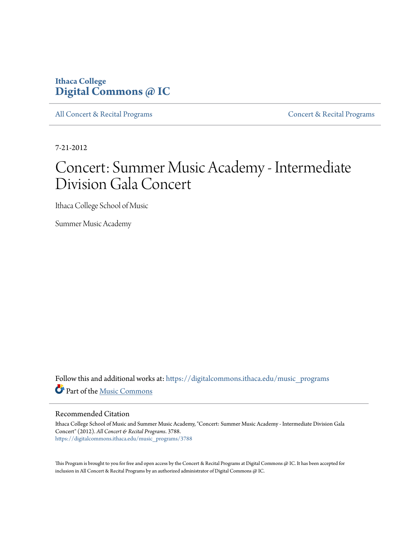## **Ithaca College [Digital Commons @ IC](https://digitalcommons.ithaca.edu?utm_source=digitalcommons.ithaca.edu%2Fmusic_programs%2F3788&utm_medium=PDF&utm_campaign=PDFCoverPages)**

[All Concert & Recital Programs](https://digitalcommons.ithaca.edu/music_programs?utm_source=digitalcommons.ithaca.edu%2Fmusic_programs%2F3788&utm_medium=PDF&utm_campaign=PDFCoverPages) **[Concert & Recital Programs](https://digitalcommons.ithaca.edu/som_programs?utm_source=digitalcommons.ithaca.edu%2Fmusic_programs%2F3788&utm_medium=PDF&utm_campaign=PDFCoverPages)** Concert & Recital Programs

7-21-2012

## Concert: Summer Music Academy - Intermediate Division Gala Concert

Ithaca College School of Music

Summer Music Academy

Follow this and additional works at: [https://digitalcommons.ithaca.edu/music\\_programs](https://digitalcommons.ithaca.edu/music_programs?utm_source=digitalcommons.ithaca.edu%2Fmusic_programs%2F3788&utm_medium=PDF&utm_campaign=PDFCoverPages) Part of the [Music Commons](http://network.bepress.com/hgg/discipline/518?utm_source=digitalcommons.ithaca.edu%2Fmusic_programs%2F3788&utm_medium=PDF&utm_campaign=PDFCoverPages)

## Recommended Citation

Ithaca College School of Music and Summer Music Academy, "Concert: Summer Music Academy - Intermediate Division Gala Concert" (2012). *All Concert & Recital Programs*. 3788. [https://digitalcommons.ithaca.edu/music\\_programs/3788](https://digitalcommons.ithaca.edu/music_programs/3788?utm_source=digitalcommons.ithaca.edu%2Fmusic_programs%2F3788&utm_medium=PDF&utm_campaign=PDFCoverPages)

This Program is brought to you for free and open access by the Concert & Recital Programs at Digital Commons @ IC. It has been accepted for inclusion in All Concert & Recital Programs by an authorized administrator of Digital Commons @ IC.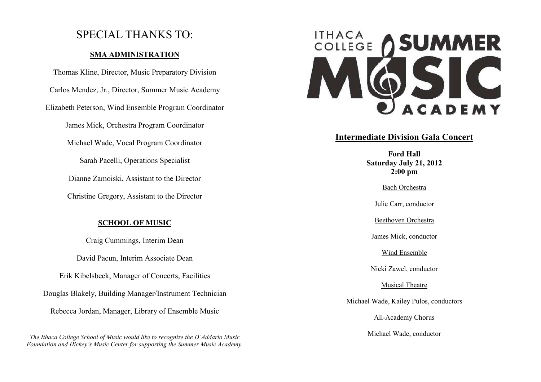## SPECIAL THANKS TO:

## **SMA ADMINISTRATION**

Thomas Kline, Director, Music Preparatory Division Carlos Mendez, Jr., Director, Summer Music Academy Elizabeth Peterson, Wind Ensemble Program Coordinator James Mick, Orchestra Program Coordinator Michael Wade, Vocal Program Coordinator Sarah Pacelli, Operations Specialist Dianne Zamoiski, Assistant to the Director Christine Gregory, Assistant to the Director

## **SCHOOL OF MUSIC**

Craig Cummings, Interim Dean David Pacun, Interim Associate Dean Erik Kibelsbeck, Manager of Concerts, Facilities Douglas Blakely, Building Manager/Instrument Technician Rebecca Jordan, Manager, Library of Ensemble Music

*The Ithaca College School of Music would like to recognize the D'Addario Music Foundation and Hickey's Music Center for supporting the Summer Music Academy.* 



## **Intermediate Division Gala Concert**

**Ford Hall Saturday July 21, 2012 2:00 pm** 

Bach Orchestra

Julie Carr, conductor

Beethoven Orchestra

James Mick, conductor

Wind Ensemble

Nicki Zawel, conductor

Musical Theatre

Michael Wade, Kailey Pulos, conductors

All-Academy Chorus

Michael Wade, conductor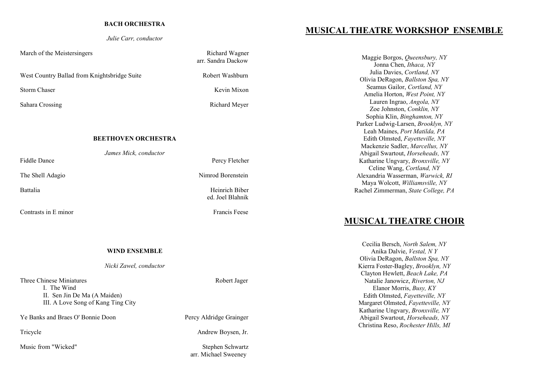#### **BACH ORCHESTRA**

*Julie Carr, conductor* 

March of the Meistersingers and the Meistersingers Richard Wagner

West Country Ballad from Knightsbridge Suite Robert Washburn

Sahara Crossing **Richard Meyer** Richard Meyer

### **BEETHOVEN ORCHESTRA**

*James Mick, conductor* 

**Contrasts in E minor** Francis Feese

#### **WIND ENSEMBLE**

### *Nicki Zawel, conductor*

Three Chinese Miniatures **Robert Jager** Robert Jager I. The Wind II. Sen Jin De Ma (A Maiden) III. A Love Song of Kang Ting City

Ye Banks and Braes O' Bonnie Doon Percy Aldridge Grainger

Music from "Wicked" Stephen Schwartz

 arr. Sandra Dackow Storm Chaser Kevin Mixon

The Shell Adagio Nimrod Borenstein

ed. Joel Blahnik

Tricycle Andrew Boysen, Jr.

arr. Michael Sweeney

## **MUSICAL THEATRE WORKSHOP ENSEMBLE**

Maggie Borgos, *Queensbury, NY* Jonna Chen, *Ithaca, NY* Julia Davies, *Cortland, NY*  Olivia DeRagon, *Ballston Spa, NY* Seamus Gailor, *Cortland, NY* Amelia Horton, *West Point, NY* Lauren Ingrao, *Angola, NY*  Zoe Johnston, *Conklin, NY* Sophia Klin, *Binghamton, NY* Parker Ludwig-Larsen, *Brooklyn, NY* Leah Maines, *Port Matilda, PA* Edith Olmsted, *Fayetteville, NY* Mackenzie Sadler, *Marcellus, NY* Abigail Swartout, *Horseheads, NY* Katharine Ungvary, *Bronxville, NY* Celine Wang, *Cortland, NY* Alexandria Wasserman, *Warwick, RI* Maya Wolcott, *Williamsville, NY* Rachel Zimmerman, *State College, PA* 

## **MUSICAL THEATRE CHOIR**

Cecilia Bersch, *North Salem, NY* Anika Dalvie, *Vestal, N Y* Olivia DeRagon, *Ballston Spa, NY* Kierra Foster-Bagley, *Brooklyn, NY* Clayton Hewlett, *Beach Lake, PA* Natalie Janowicz, *Riverton, NJ* Elanor Morris, *Busy, KY* Edith Olmsted, *Fayetteville, NY* Margaret Olmsted, *Fayetteville, NY* Katharine Ungvary, *Bronxville, NY* Abigail Swartout, *Horseheads, NY* Christina Reso, *Rochester Hills, MI* 

# Fiddle Dance Percy Fletcher

Battalia Heinrich Biber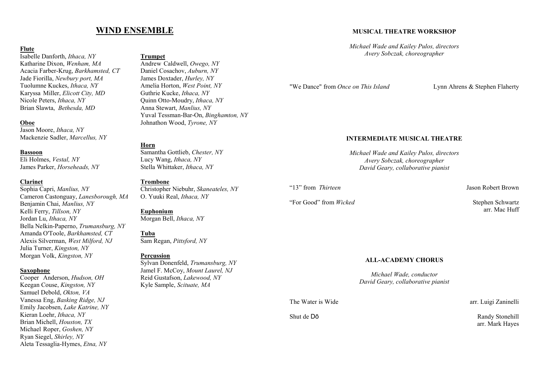## **WIND ENSEMBLE**

## **Flute**

Isabelle Danforth, *Ithaca, NY*  Katharine Dixon, *Wenham, MA*  Acacia Farber-Krug, *Barkhamsted, CT*  Jade Fiorilla, *Newbury port, MA*  Tuolumne Kuckes, *Ithaca, NY*  Karyssa Miller, *Elicott City, MD*  Nicole Peters, *Ithaca, NY*  Brian Slawta, *Bethesda, MD* 

#### **Oboe**

Jason Moore, *Ithaca, NY*  Mackenzie Sadler, *Marcellus, NY* 

#### **Bassoon**

Eli Holmes, *Vestal, NY*  James Parker, *Horseheads, NY* 

#### **Clarinet**

Sophia Capri, *Manlius, NY*  Cameron Castonguay, *Lanesborough, MA*  Benjamin Chai, *Manlius, NY* Kelli Ferry, *Tillson, NY*  Jordan Lu, *Ithaca, NY*  Bella Nelkin-Paperno, *Trumansburg, NY*  Amanda O'Toole, *Barkhamsted, CT*  Alexis Silverman, *West Milford, NJ*  Julia Turner, *Kingston, NY*  Morgan Volk, *Kingston, NY* 

## **Saxophone**

Cooper Anderson, *Hudson, OH*  Keegan Couse, *Kingston, NY*  Samuel Debold, *Okton, VA*  Vanessa Eng, *Basking Ridge, NJ*  Emily Jacobsen, *Lake Katrine, NY*  Kieran Loehr, *Ithaca, NY*  Brian Michell, *Houston, TX*  Michael Roper, *Goshen, NY*  Ryan Siegel, *Shirley, NY*  Aleta Tessaglia-Hymes, *Etna, NY* 

## **Trumpet**

Andrew Caldwell, *Owego, NY*  Daniel Cosachov, *Auburn, NY*  James Doxtader, *Hurley, NY*  Amelia Horton, *West Point, NY*  Guthrie Kucke, *Ithaca, NY*  Quinn Otto-Moudry, *Ithaca, NY*  Anna Stewart, *Manlius, NY*  Yuval Tessman-Bar-On, *Binghamton, NY*  Johnathon Wood, *Tyrone, NY* 

## **Horn**

Samantha Gottlieb, *Chester, NY*  Lucy Wang, *Ithaca, NY*  Stella Whittaker, *Ithaca, NY* 

#### **Trombone**

Christopher Niebuhr, *Skaneateles, NY* O. Yuuki Real, *Ithaca, NY* 

## **Euphonium**

Morgan Bell, *Ithaca, NY* 

## **Tuba**

Sam Regan, *Pittsford, NY* 

#### **Percussion**

Sylvan Donenfeld, *Trumansburg, NY*  Jamel F. McCoy, *Mount Laurel, NJ*  Reid Gustafson, *Lakewood, NY*  Kyle Sample, *Scituate, MA* 

**MUSICAL THEATRE WORKSHOP** 

*Michael Wade and Kailey Pulos, directors Avery Sobczak, choreographer* 

"We Dance" from *Once on This Island*

Lynn Ahrens & Stephen Flaherty

## **INTERMEDIATE MUSICAL THEATRE**

*Michael Wade and Kailey Pulos, directors Avery Sobczak, choreographer David Geary, collaborative pianist* 

"13" from *Thirteen* 

"For Good" from *Wicked* 

Jason Robert Brown

Stephen Schwartz arr. Mac Huff

#### **ALL-ACADEMY CHORUS**

*Michael Wade, conductor David Geary, collaborative pianist* 

The Water is Wide

arr. Luigi Zaninelli

Shut de Dō

 Randy Stonehill arr. Mark Hayes